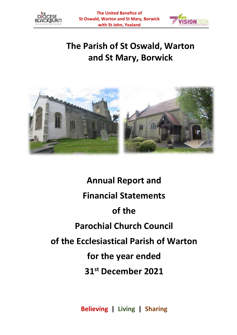



# **The Parish of St Oswald, Warton and St Mary, Borwick**



**Annual Report and Financial Statements of the Parochial Church Council of the Ecclesiastical Parish of Warton for the year ended 31st December 2021**

**Believing | Living | Sharing**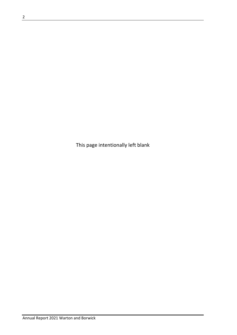This page intentionally left blank

<u> 1980 - Johann Barbara, martxa amerikan per</u>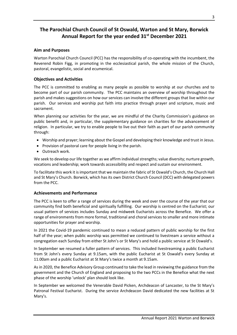# **The Parochial Church Council of St Oswald, Warton and St Mary, Borwick Annual Report for the year ended 31st December 2021**

### **Aim and Purposes**

Warton Parochial Church Council (PCC) has the responsibility of co-operating with the incumbent, the Reverend Robin Figg, in promoting in the ecclesiastical parish, the whole mission of the Church, pastoral, evangelistic, social and ecumenical.

### **Objectives and Activities**

The PCC is committed to enabling as many people as possible to worship at our churches and to become part of our parish community. The PCC maintains an overview of worship throughout the parish and makes suggestions on how our services can involve the different groups that live within our parish. Our services and worship put faith into practice through prayer and scripture, music and sacrament.

When planning our activities for the year, we are mindful of the Charity Commission's guidance on public benefit and, in particular, the supplementary guidance on charities for the advancement of religion. In particular, we try to enable people to live out their faith as part of our parish community through:

- Worship and prayer; learning about the Gospel and developing their knowledge and trust in Jesus.
- Provision of pastoral care for people living in the parish.
- Outreach work.

We seek to develop our life together as we affirm individual strengths; value diversity; nurture growth, vocations and leadership; work towards accessibility and respect and sustain our environment.

To facilitate this work it is important that we maintain the fabric of St Oswald's Church, the Church Hall and St Mary's Church. Borwick, which has its own District Church Council (DCC) with delegated powers from the PCC.

### **Achievements and Performance**

The PCC is keen to offer a range of services during the week and over the course of the year that our community find both beneficial and spiritually fulfilling. Our worship is centred on the Eucharist; our usual pattern of services includes Sunday and midweek Eucharists across the Benefice. We offer a range of environments from more formal, traditional and choral services to smaller and more intimate opportunities for prayer and worship.

In 2021 the Covid-19 pandemic continued to mean a reduced pattern of public worship for the first half of the year; when public worship was permitted we continued to livestream a service without a congregation each Sunday from either St John's or St Mary's and hold a public service at St Oswald's.

In September we resumed a fuller pattern of services. This included livestreaming a public Eucharist from St John's every Sunday at 9.15am, with the public Eucharist at St Oswald's every Sunday at 11.00am and a public Eucharist at St Mary's twice a month at 9.15am.

As in 2020, the Benefice Advisory Group continued to take the lead in reviewing the guidance from the government and the Church of England and proposing to the two PCCs in the Benefice what the next phase of the worship 'unlock' plan should look like.

In September we welcomed the Venerable David Picken, Archdeacon of Lancaster, to the St Mary's Patronal Festival Eucharist. During the service Archdeacon David dedicated the new facilities at St Mary's.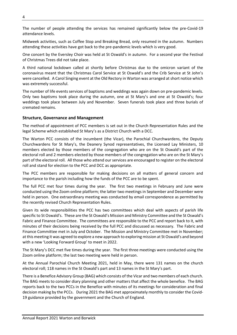The number of people attending the services has remained significantly below the pre-Covid-19 attendance levels.

Midweek activities, such as Coffee Stop and Breaking Bread, only resumed in the autumn. Numbers attending these activities have got back to the pre-pandemic levels which is very good.

One concert by the Eversley Choir was held at St Oswald's in autumn. For a second year the Festival of Christmas Trees did not take place.

A third national lockdown called at shortly before Christmas due to the omicron variant of the coronavirus meant that the Christmas Carol Service at St Oswald's and the Crib Service at St John's were cancelled. A Carol Singing event at the Old Rectory in Warton was arranged at short notice which was extremely successful.

The number of life events services of baptisms and weddings was again down on pre-pandemic levels. Only two baptisms took place during the autumn, one at St Mary's and one at St Oswald's; four weddings took place between July and November. Seven funerals took place and three burials of cremated remains.

### **Structure, Governance and Management**

The method of appointment of PCC members is set out in the Church Representation Rules and the legal Scheme which established St Mary's as a District Church with a DCC.

The Warton PCC consists of the incumbent (the Vicar), the Parochial Churchwardens, the Deputy Churchwardens for St Mary's, the Deanery Synod representatives, the Licensed Lay Ministers, 10 members elected by those members of the congregation who are on the St Oswald's part of the electoral roll and 2 members elected by those members of the congregation who are on the St Mary's part of the electoral roll. All those who attend our services are encouraged to register on the electoral roll and stand for election to the PCC and DCC as appropriate.

The PCC members are responsible for making decisions on all matters of general concern and importance to the parish including how the funds of the PCC are to be spent.

The full PCC met four times during the year. The first two meetings in February and June were conducted using the Zoom online platform; the latter two meetings in September and December were held in person. One extraordinary meeting was conducted by email correspondence as permitted by the recently revised Church Representation Rules.

Given its wide responsibilities the PCC has two committees which deal with aspects of parish life specific to St Oswald's. These are the St Oswald's Mission and Ministry Committee and the St Oswald's Fabric and Finance Committee. The committees are responsible to the PCC and report back to it, with minutes of their decisions being received by the full PCC and discussed as necessary. The Fabric and Finance Committee met in July and October. The Mission and Ministry Committee met in November; at this meeting it was agreed to explore a new approach to exploring mission at St Oswald's and beyond with a new 'Looking Forward Group' to meet in 2022.

The St Mary's DCC met five times during the year. The first three meetings were conducted using the Zoom online platform; the last two meeting were held in person.

At the Annual Parochial Church Meeting 2021, held in May, there were 131 names on the church electoral roll; 118 names in the St Oswald's part and 13 names in the St Mary's part.

There is a Benefice Advisory Group (BAG) which consists of the Vicar and two members of each church. The BAG meets to consider diary planning and other matters that affect the whole benefice. The BAG reports back to the two PCCs in the Benefice with minutes of its meetings for consideration and final decision making by the PCCs. During 2021 the BAG met approximately monthly to consider the Covid-19 guidance provided by the government and the Church of England.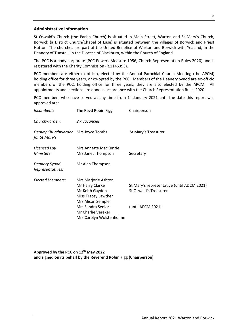### **Administrative information**

St Oswald's Church (the Parish Church) is situated in Main Street, Warton and St Mary's Church, Borwick (a District Church/Chapel of Ease) is situated between the villages of Borwick and Priest Hutton. The churches are part of the United Benefice of Warton and Borwick with Yealand, in the Deanery of Tunstall, in the Diocese of Blackburn, within the Church of England.

The PCC is a body corporate (PCC Powers Measure 1956, Church Representation Rules 2020) and is registered with the Charity Commission (R.1146393).

PCC members are either ex-officio, elected by the Annual Parochial Church Meeting (the APCM) holding office for three years, or co-opted by the PCC. Members of the Deanery Synod are ex-officio members of the PCC, holding office for three years; they are also elected by the APCM. All appointments and elections are done in accordance with the Church Representation Rules 2020.

PCC members who have served at any time from  $1<sup>st</sup>$  January 2021 until the date this report was approved are:

| Incumbent:                                           | The Revd Robin Figg                                                                                                                              | Chairperson                                                                              |
|------------------------------------------------------|--------------------------------------------------------------------------------------------------------------------------------------------------|------------------------------------------------------------------------------------------|
| Churchwarden:                                        | 2 x vacancies                                                                                                                                    |                                                                                          |
| Deputy Churchwarden Mrs Joyce Tombs<br>for St Mary's |                                                                                                                                                  | St Mary's Treasurer                                                                      |
| Licensed Lay<br><b>Ministers</b>                     | Mrs Annette MacKenzie<br>Mrs Janet Thompson                                                                                                      | Secretary                                                                                |
| Deanery Synod<br>Representatives:                    | Mr Alan Thompson                                                                                                                                 |                                                                                          |
| <b>Elected Members:</b>                              | Mrs Marjorie Ashton<br>Mr Harry Clarke<br>Mr Keith Gaydon<br>Miss Tracey Lawther<br>Mrs Alison Semple<br>Mrs Sandra Senior<br>Mr Charlie Vereker | St Mary's representative (until ADCM 2021)<br>St Oswald's Treasurer<br>(until APCM 2021) |
|                                                      | Mrs Carolyn Wolstenholme                                                                                                                         |                                                                                          |

**Approved by the PCC on 12th May 2022 and signed on its behalf by the Reverend Robin Figg (Chairperson)**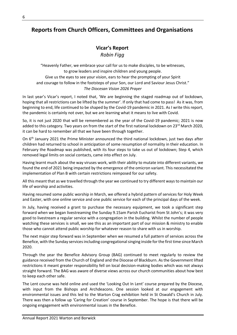# **Reports from Church Officers, Committees and Organisations**

# **Vicar's Report**  *Robin Figg*

"Heavenly Father, we embrace your call for us to make disciples, to be witnesses, to grow leaders and inspire children and young people. Give us the eyes to see your vision, ears to hear the prompting of your Spirit and courage to follow in the footsteps of your Son, our Lord and Saviour Jesus Christ." *The Diocesan Vision 2026 Prayer* 

In last year's Vicar's report, I noted that, 'We are beginning the staged roadmap out of lockdown, hoping that all restrictions can be lifted by the summer'. If only that had come to pass! As it was, from beginning to end, life continued to be shaped by the Covid-19 pandemic in 2021. As I write this report, the pandemic is certainly not over, but we are learning what it means to live with Covid.

So, it is not just 2020 that will be remembered as the year of the Covid-19 pandemic; 2021 is now added to this category. Two years on from the start of the first national lockdown on  $23^{\text{rd}}$  March 2020, it can be hard to remember all that we have been through together.

On 6th January 2021 the Prime Minister announced the third national lockdown, just two days after children had returned to school in anticipation of some resumption of normality in their education. In February the Roadmap was published, with its four steps to take us out of lockdown; Step 4, which removed legal limits on social contacts, came into effect on July.

Having learnt much about the way viruses work, with their ability to mutate into different variants, we found the end of 2021 being impacted by the emergence of the omicron variant. This necessitated the implementation of Plan B with certain restrictions reimposed for our safety.

All this meant that as we travelled through the year we continued to try different ways to maintain our life of worship and activities.

Having resumed some public worship in March, we offered a hybrid pattern of services for Holy Week and Easter, with one online service and one public service for each of the principal days of the week.

In July, having received a grant to purchase the necessary equipment, we took a significant step forward when we began livestreaming the Sunday 9.15am Parish Eucharist from St John's; it was very good to livestream a regular service with a congregation in the building. Whilst the number of people watching these services is small, we see this as an important part of our mission & ministry to enable those who cannot attend public worship for whatever reason to share with us in worship.

The next major step forward was in September when we resumed a full pattern of services across the Benefice, with the Sunday services including congregational singing inside for the first time since March 2020.

Through the year the Benefice Advisory Group (BAG) continued to meet regularly to review the guidance received from the Church of England and the Diocese of Blackburn. As the Government lifted restrictions it meant greater responsibility fell on local decision-making bodies which was not always straight forward. The BAG was aware of diverse views across our church communities about how best to keep each other safe.

The Lent course was held online and used the 'Looking Out In Lent' course prepared by the Diocese, with input from the Bishops and Archdeacons. One session looked at our engagement with environmental issues and this led to the Warton Crag exhibition held in St Oswald's Church in July. There was then a follow up 'Caring for Creation' course in September. The hope is that there will be ongoing engagement with environmental issues in the Benefice.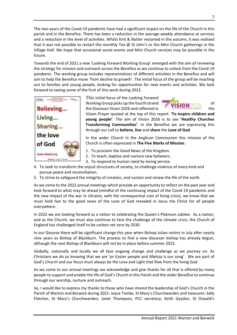The two years of the Covid-19 pandemic have had a significant impact on the life of the Church in this parish and in the Benefice. There has been a reduction in the average weekly attendance at services and a reduction in the level of activities. Whilst Knit & Natter restarted in the autumn, it was realised that it was not possible to restart the monthly Tea @ St John's or the Mini Church gatherings in the Village Hall. We hope that occasional social events and Mini Church services may be possible in the future.

Towards the end of 2021 a new 'Looking Forward Working Group' emerged with the aim of reviewing the strategy for mission and outreach across the Benefice as we continue to unlock from the Covid-19 pandemic. The working group includes representatives of different activities in the Benefice and will aim to help the Benefice move 'from decline to growth'. The initial focus of the group will be reaching out to families and young people, looking for opportunities for new events and activities. We look forward to seeing some of the fruit of this work during 2022.



This initial focus of the Looking Forward Working Group picks up the fourth strand  $\sqrt{\text{VISION}2026}$  of the Diocesan Vision 2026 and reflected in the theorem in the the

Vision Prayer quoted at the top of this report: **'To inspire children and young people'**. The aim of Vision 2026 is to see **'Healthy Churches Transforming Communities'**. In the Benefice we are expressing this through our call to **believe**, **live** and **share** the **Love of God**.

In the wider Church in the Anglican Communion this mission of the Church is often expressed in **The Five Marks of Mission**:

1. To proclaim the Good News of the Kingdom.

- 2. To teach, baptise and nurture new believers.
- 3. To respond to human need by loving service.
- 4. To seek to transform the unjust structures of society, to challenge violence of every kind and pursue peace and reconciliation.
- 5. To strive to safeguard the integrity of creation, and sustain and renew the life of the earth.

As we come to the 2022 annual meetings which provide an opportunity to reflect on the past year and look forward to what may lie ahead (mindful of the continuing impact of the Covid-19 pandemic and the new impact of the war in Ukraine, with the consequential cost of living crisis), we know that we must hold fast to the good news of the Love of God revealed in Jesus the Christ for all people everywhere.

In 2022 we are looking forward as a nation to celebrating the Queen's Platinum Jubilee. As a nation, and as the Church, we must also continue to face the challenge of the climate crisis; the Church of England has challenged itself to be carbon net zero by 2030.

In our Diocese there will be significant change this year when Bishop Julian retires in July after nearly nine years as Bishop of Blackburn. The process to find a new diocesan bishop has already begun, although the next Bishop of Blackburn will not be in place before summer 2023.

Globally, nationally and locally we all face ongoing change and challenge as we journey on. As Christians we do so knowing that we are 'an Easter people and Alleluia is our song'. We are part of God's Church and our focus must always be the Love and Light that flow from the living God.

As we come to our annual meetings we acknowledge and give thanks for all that is offered by many people to support and enable the life of God's Church in this Parish and the wider Benefice to continue through our worship, nurture and outreach.

So, I would like to express my thanks to those who have shared the leadership of God's Church in the Parish of Warton and Borwick during 2021: Joyce Tombs, St Mary's Churchwarden and treasurer; Sally Fletcher, St Mary's Churchwarden; Janet Thompson, PCC secretary; Keith Gaydon, St Oswald's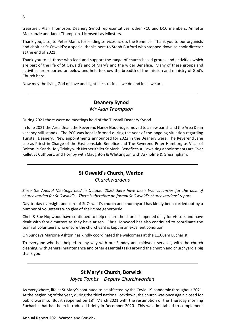treasurer; Alan Thompson, Deanery Synod representatives; other PCC and DCC members; Annette MacKenzie and Janet Thompson, Licensed Lay Minsters.

Thank you, also, to Peter Mann, for leading services across the Benefice. Thank you to our organists and choir at St Oswald's; a special thanks here to Steph Burford who stepped down as choir director at the end of 2021,

Thank you to all those who lead and support the range of church-based groups and activities which are part of the life of St Oswald's and St Mary's and the wider Benefice. Many of these groups and activities are reported on below and help to show the breadth of the mission and ministry of God's Church here.

Now may the living God of Love and Light bless us in all we do and in all we are.

# **Deanery Synod**  *Mr Alan Thompson*

During 2021 there were no meetings held of the Tunstall Deanery Synod.

In June 2021 the Area Dean, the Reverend Nancy Goodridge, moved to a new parish and the Area Dean vacancy still stands. The PCC was kept informed during the year of the ongoing situation regarding Tunstall Deanery. New appointments announced for 2022 in the Deanery were: The Reverend Jane Lee as Priest-in-Charge of the East Lonsdale Benefice and The Reverend Peter Hamborg as Vicar of Bolton-le-Sands Holy Trinity with Nether Kellet St Mark. Benefices still awaiting appointments are Over Kellet St Cuthbert, and Hornby with Claughton & Whittington with Arkholme & Gressingham.

## **St Oswald's Church, Warton**

### *Churchwardens*

*Since the Annual Meetings held in October 2020 there have been two vacancies for the post of churchwarden for St Oswald's. There is therefore no formal St Oswald's churchwardens' report.* 

Day-to-day oversight and care of St Oswald's church and churchyard has kindly been carried out by a number of volunteers who give of their time generously.

Chris & Sue Hopwood have continued to help ensure the church is opened daily for visitors and have dealt with fabric matters as they have arisen. Chris Hopwood has also continued to coordinate the team of volunteers who ensure the churchyard is kept in an excellent condition.

On Sundays Marjorie Ashton has kindly coordinated the welcomers at the 11.00am Eucharist.

To everyone who has helped in any way with our Sunday and midweek services, with the church cleaning, with general maintenance and other essential tasks around the church and churchyard a big thank you.

## **St Mary's Church, Borwick**  *Joyce Tombs – Deputy Churchwarden*

As everywhere, life at St Mary's continued to be affected by the Covid-19 pandemic throughout 2021. At the beginning of the year, during the third national lockdown, the church was once again closed for public worship. But it reopened on 18<sup>th</sup> March 2021 with the resumption of the Thursday morning Eucharist that had been introduced briefly in December 2020. This was timetabled to complement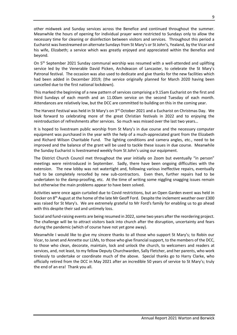other midweek and Sunday services across the Benefice and continued throughout the summer. Meanwhile the hours of opening for individual prayer were restricted to Sundays only to allow the necessary time for cleaning or disinfection between visitors and services. Throughout this period a Eucharist was livestreamed on alternate Sundays from St Mary's or St John's, Yealand, by the Vicar and his wife, Elizabeth; a service which was greatly enjoyed and appreciated within the Benefice and beyond.

On 5<sup>th</sup> September 2021 Sunday communal worship was resumed with a well-attended and uplifting service led by the Venerable David Picken, Archdeacon of Lancaster, to celebrate the St Mary's Patronal festival. The occasion was also used to dedicate and give thanks for the new facilities which had been added in December 2019; (the service originally planned for March 2020 having been cancelled due to the first national lockdown).

This marked the beginning of a new pattern of services comprising a 9.15am Eucharist on the first and third Sundays of each month and an 11.00am service on the second Tuesday of each month. Attendances are relatively low, but the DCC are committed to building on this in the coming year.

The Harvest Festival was held in St Mary's on 3<sup>rd</sup> October 2021 and a Eucharist on Christmas Day. We look forward to celebrating more of the great Christian festivals in 2022 and to enjoying the reintroduction of refreshments after services. So much was missed over the last two years…

It is hoped to livestream public worship from St Mary's in due course and the necessary computer equipment was purchased in the year with the help of a much-appreciated grant from the Elizabeth and Richard Wilson Charitable Fund. The lighting conditions and camera angles, etc., need to be improved and the balance of the grant will be used to tackle these issues in due course. Meanwhile the Sunday Eucharist is livestreamed weekly from St John's using our equipment.

The District Church Council met throughout the year initially on Zoom but eventually "in person" meetings were reintroduced in September. Sadly, there have been ongoing difficulties with the extension. The new lobby was not watertight and, following various ineffective repairs, eventually had to be completely reroofed by new sub-contractors. Even then, further repairs had to be undertaken to the damp-proofing, etc. At the time of writing some niggling snagging issues remain but otherwise the main problems appear to have been solved.

Activities were once again curtailed due to Covid restrictions, but an Open Garden event was held in Docker on 8<sup>th</sup> August at the home of the late Mr Geoff Ford. Despite the inclement weather over £300 was raised for St Mary's. We are extremely grateful to Mr Ford's family for enabling us to go ahead with this despite their sad and untimely loss.

Social and fund-raising events are being resumed in 2022, some two years after the reordering project. The challenge will be to attract visitors back into church after the disruption, uncertainty and fears during the pandemic (which of course have not yet gone away).

Meanwhile I would like to give my sincere thanks to all those who support St Mary's; to Robin our Vicar, to Janet and Annette our LLMs, to those who give financial support, to the members of the DCC, to those who clean, decorate, maintain, lock and unlock the church, to welcomers and readers at services, and, not least, to my fellow Deputy Churchwarden, Sally Fletcher, and her parents, who work tirelessly to undertake or coordinate much of the above. Special thanks go to Harry Clarke, who officially retired from the DCC in May 2021 after an incredible 50 years of service to St Mary's; truly the end of an era! Thank you all.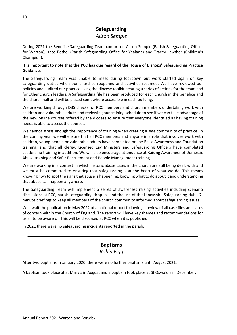# **Safeguarding**

### *Alison Semple*

During 2021 the Benefice Safeguarding Team comprised Alison Semple (Parish Safeguarding Officer for Warton), Kate Bethel (Parish Safeguarding Office for Yealand) and Tracey Lawther (Children's Champion).

### **It is important to note that the PCC has due regard of the House of Bishops' Safeguarding Practice Guidance.**

The Safeguarding Team was unable to meet during lockdown but work started again on key safeguarding duties when our churches reopened and activities resumed. We have reviewed our policies and audited our practice using the diocese toolkit creating a series of actions for the team and for other church leaders. A Safeguarding file has been produced for each church in the benefice and the church hall and will be placed somewhere accessible in each building.

We are working through DBS checks for PCC members and church members undertaking work with children and vulnerable adults and reviewing our training schedule to see if we can take advantage of the new online courses offered by the diocese to ensure that everyone identified as having training needs is able to access the courses.

We cannot stress enough the importance of training when creating a safe community of practice. In the coming year we will ensure that all PCC members and anyone in a role that involves work with children, young people or vulnerable adults have completed online Basic Awareness and Foundation training, and that all clergy, Licensed Lay Ministers and Safeguarding Officers have completed Leadership training in addition. We will also encourage attendance at Raising Awareness of Domestic Abuse training and Safer Recruitment and People Management training.

We are working in a context in which historic abuse cases in the church are still being dealt with and we must be committed to ensuring that safeguarding is at the heart of what we do. This means knowing how to spot the signs that abuse is happening, knowing what to do about it and understanding that abuse can happen anywhere.

The Safeguarding Team will implement a series of awareness raising activities including scenario discussions at PCC, parish safeguarding drop-ins and the use of the Lancashire Safeguarding Hub's 7 minute briefings to keep all members of the church community informed about safeguarding issues.

We await the publication in May 2022 of a national report following a review of all case files and cases of concern within the Church of England. The report will have key themes and recommendations for us all to be aware of. This will be discussed at PCC when it is published.

In 2021 there were no safeguarding incidents reported in the parish.

## **Baptisms**

## *Robin Figg*

After two baptisms in January 2020, there were no further baptisms until August 2021.

A baptism took place at St Mary's in August and a baptism took place at St Oswald's in December.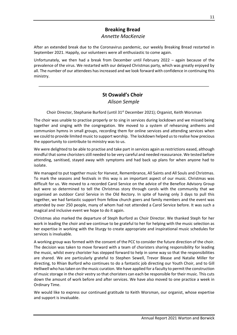# **Breaking Bread**

### *Annette MacKenzie*

After an extended break due to the Coronavirus pandemic, our weekly Breaking Bread restarted in September 2021. Happily, our volunteers were all enthusiastic to come again.

Unfortunately, we then had a break from December until February 2022 – again because of the prevalence of the virus. We restarted with our delayed Christmas party, which was greatly enjoyed by all. The number of our attendees has increased and we look forward with confidence in continuing this ministry.

# **St Oswald's Choir** *Alison Semple*

Choir Director, Stephanie Burford (until 31<sup>st</sup> December 2021); Organist, Keith Worsman

The choir was unable to practise properly or to sing in services during lockdown and we missed being together and singing with the congregation. We moved to a system of rehearsing anthems and communion hymns in small groups, recording them for online services and attending services when we could to provide limited music to support worship. The lockdown helped us to realise how precious the opportunity to contribute to ministry was to us.

We were delighted to be able to practise and take part in services again as restrictions eased, although mindful that some choristers still needed to be very careful and needed reassurance. We tested before attending, sanitised, stayed away with symptoms and had back up plans for when anyone had to isolate.

We managed to put together music for Harvest, Remembrance, All Saints and All Souls and Christmas. To mark the seasons and festivals in this way is an important aspect of our music. Christmas was difficult for us. We moved to a recorded Carol Service on the advice of the Benefice Advisory Group but were so determined to tell the Christmas story through carols with the community that we organised an outdoor Carol Service in the Old Rectory. In spite of having only 3 days to pull this together, we had fantastic support from fellow church goers and family members and the event was attended by over 250 people, many of whom had not attended a Carol Service before. It was such a magical and inclusive event we hope to do it again.

Christmas also marked the departure of Steph Burford as Choir Director. We thanked Steph for her work in leading the choir and we continue to be grateful to her for helping with the music selection as her expertise in working with the liturgy to create appropriate and inspirational music schedules for services is invaluable.

A working group was formed with the consent of the PCC to consider the future direction of the choir. The decision was taken to move forward with a team of choristers sharing responsibility for leading the music, whilst every chorister has stepped forward to help in some way so that the responsibilities are shared. We are particularly grateful to Stephen Sewell, Trevor Blease and Natalie Miller for directing, to Rhian Burford who continues to do a fantastic job directing our Youth Choir, and to Gill Helliwell who has taken on the music curation. We have applied for a faculty to permit the construction of music storage in the choir vestry so that choristers can each be responsible for their music. This cuts down the amount of work before and after services. We have also moved to one practice a week in Ordinary Time.

We would like to express our continued gratitude to Keith Worsman, our organist, whose expertise and support is invaluable.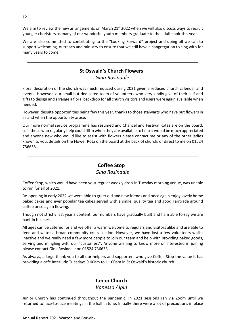We aim to review the new arrangements on March 21<sup>st</sup> 2022 when we will also discuss ways to recruit younger choristers as many of our wonderful youth members graduate to the adult choir this year.

We are also committed to contributing to the "Looking Forward" project and doing all we can to support welcoming, outreach and ministry to ensure that we still have a congregation to sing with for many years to come.

### **St Oswald's Church Flowers**  *Gina Rosindale*

Floral decoration of the church was much reduced during 2021 given a reduced church calendar and events. However, our small but dedicated team of volunteers who very kindly give of their self and gifts to design and arrange a floral backdrop for all church visitors and users were again available when needed.

However, despite opportunities being few this year, thanks to those stalwarts who have put flowers in as and when the opportunity arose.

Our more normal service programme has resumed and Chancel and Festival Rotas are on the board, so if those who regularly help could fill in when they are available to help it would be much appreciated and anyone new who would like to assist with flowers please contact me or any of the other ladies known to you, details on the Flower Rota on the board at the back of church, or direct to me on 01524 736633.

# **Coffee Stop**

### *Gina Rosindale*

Coffee Stop, which would have been your regular weekly drop-in Tuesday morning venue, was unable to run for all of 2021.

Re-opening in early 2022 we were able to greet old and new friends and once again enjoy lovely home baked cakes and ever popular tea cakes served with a smile, quality tea and good Fairtrade ground coffee once again flowing.

Though not strictly last year's content, our numbers have gradually built and I am able to say we are back in business.

All ages can be catered for and we offer a warm welcome to regulars and visitors alike and are able to feed and water a broad community cross section. However, we have lost a few volunteers whilst inactive and we really need a few more people to join our team and help with providing baked goods, serving and mingling with our "customers". Anyone wishing to know more or interested in joining please contact Gina Rosindale on 01524 736633

As always, a large thank you to all our helpers and supporters who give Coffee Stop the value it has providing a café interlude Tuesdays 9.00am to 11.00am in St Oswald's historic church.

# **Junior Church**

*Vanessa Alpin*

Junior Church has continued throughout the pandemic. In 2021 sessions ran via Zoom until we returned to face-to-face meetings in the hall in June. Initially there were a lot of precautions in place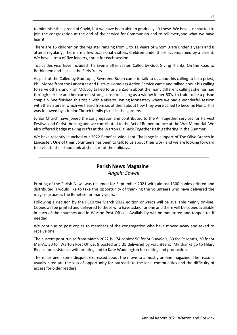to minimise the spread of Covid, but we have been able to gradually lift these. We have just started to join the congregation at the end of the service for Communion and to tell everyone what we have learnt.

There are 15 children on the register ranging from 1 to 11 years of whom 3 are under 3 years and 8 attend regularly. There are a few occasional visitors. Children under 3 are accompanied by a parent. We have a rota of five leaders, three for each session.

Topics this year have included The Events after Easter, Called by God, Giving Thanks, On the Road to Bethlehem and Jesus – the Early Years.

As part of the Called by God topic, Reverend Robin came to talk to us about his calling to be a priest, Phil Moore from the Lancaster and District Homeless Action Service came and talked about his calling to serve others and Fran McEvoy talked to us via Zoom about the many different callings she has had through her life and her current strong sense of calling as a widow in her 60's, to train to be a prison chaplain. We finished this topic with a visit to Hyning Monastery where we had a wonderful session with the Sisters in which we heard from six of them about how they were called to become Nuns. This was followed by a Junior Church family picnic in the gardens.

Junior Church have joined the congregation and contributed to the All Together services for Harvest Festival and Christ the King and we contributed to the Act of Remembrance at the War Memorial. We also offered badge making crafts at the Warton Big Back Together Bash gathering in the Summer.

We have recently launched our 2022 Benefice-wide Lent Challenge in support of The Olive Branch in Lancaster. One of their volunteers has been to talk to us about their work and we are looking forward to a visit to their foodbank at the start of the holidays.

### **Parish News Magazine**

### *Angela Sewell*

Printing of the Parish News was resumed for September 2021 with almost 1300 copies printed and distributed. I would like to take this opportunity of thanking the volunteers who have delivered the magazine across the Benefice for many years.

Following a decision by the PCCs the March 2022 edition onwards will be available mainly on-line. Copies will be printed and delivered to those who have asked for one and there will be copies available in each of the churches and in Warton Post Office. Availability will be monitored and topped up if needed.

We continue to post copies to members of the congregation who have moved away and asked to receive one.

The current print run as from March 2022 is 174 copies: 50 for St Oswald's, 30 for St John's, 20 for St Mary's, 30 for Warton Post Office, 9 posted and 35 delivered by volunteers. My thanks go to Hilary Blease for assistance with printing and to Kate Waddington for editing and production.

There has been some disquiet expressed about the move to a mostly on-line magazine. The reasons usually cited are the loss of opportunity for outreach to the local communities and the difficulty of access for older readers.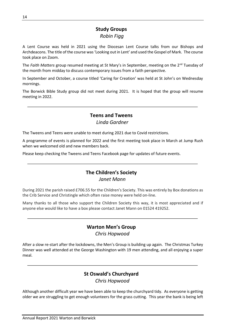# **Study Groups**  *Robin Figg*

A Lent Course was held in 2021 using the Diocesan Lent Course talks from our Bishops and Archdeacons. The title of the course was 'Looking out in Lent' and used the Gospel of Mark. The course took place on Zoom.

The *Faith Matters* group resumed meeting at St Mary's in September, meeting on the 2<sup>nd</sup> Tuesday of the month from midday to discuss contemporary issues from a faith perspective.

In September and October, a course titled 'Caring for Creation' was held at St John's on Wednesday mornings.

The Borwick Bible Study group did not meet during 2021. It is hoped that the group will resume meeting in 2022.

### **Teens and Tweens**  *Linda Gardner*

The Tweens and Teens were unable to meet during 2021 due to Covid restrictions.

A programme of events is planned for 2022 and the first meeting took place in March at Jump Rush when we welcomed old and new members back.

Please keep checking the Tweens and Teens Facebook page for updates of future events.

# **The Children's Society**

### *Janet Mann*

During 2021 the parish raised £706.55 for the Children's Society. This was entirely by Box donations as the Crib Service and Christingle which often raise money were held on-line.

Many thanks to all those who support the Children Society this way, it is most appreciated and if anyone else would like to have a box please contact Janet Mann on 01524 419252.

## **Warton Men's Group**  *Chris Hopwood*

After a slow re-start after the lockdowns, the Men's Group is building up again. The Christmas Turkey Dinner was well attended at the George Washington with 19 men attending, and all enjoying a super meal.

# **St Oswald's Churchyard** *Chris Hopwood*

Although another difficult year we have been able to keep the churchyard tidy. As everyone is getting older we are struggling to get enough volunteers for the grass cutting. This year the bank is being left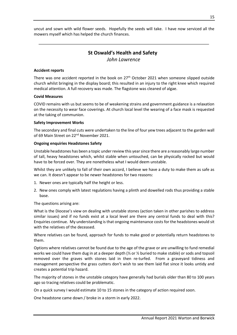uncut and sown with wild flower seeds. Hopefully the seeds will take. I have now serviced all the mowers myself which has helped the church finances.

## **St Oswald's Health and Safety**  *John Lawrence*

#### **Accident reports**

There was one accident reported in the book on 27<sup>th</sup> October 2021 when someone slipped outside church whilst bringing in the display board; this resulted in an injury to the right knee which required medical attention. A full recovery was made. The flagstone was cleaned of algae.

#### **Covid Measures**

COVID remains with us but seems to be of weakening strains and government guidance is a relaxation on the necessity to wear face coverings. At church local level the wearing of a face mask is requested at the taking of communion.

#### **Safety Improvement Works**

The secondary and final cuts were undertaken to the line of four yew trees adjacent to the garden wall of 69 Main Street on 22<sup>nd</sup> November 2021.

#### **Ongoing enquiries Headstones Safety**

Unstable headstones has been a topic under review this year since there are a reasonably large number of tall, heavy headstones which, whilst stable when untouched, can be physically rocked but would have to be forced over. They are nonetheless what I would deem unstable.

Whilst they are unlikely to fall of their own accord, I believe we have a duty to make them as safe as we can. It doesn't appear to be newer headstones for two reasons:

- 1. Newer ones are typically half the height or less.
- 2. New ones comply with latest regulations having a plinth and dowelled rods thus providing a stable base.

The questions arising are:

What is the Diocese's view on dealing with unstable stones (action taken in other parishes to address similar issues) and if no funds exist at a local level are there any central funds to deal with this? Enquiries continue. My understanding is that ongoing maintenance costs for the headstones would sit with the relatives of the deceased.

Where relatives can be found, approach for funds to make good or potentially return headstones to them.

Options where relatives cannot be found due to the age of the grave or are unwilling to fund remedial works we could have them dug in at a deeper depth (¼ or ½ buried to make stable) or sods and topsoil removed over the graves with stones laid in then re-turfed. From a graveyard tidiness and management perspective the grass cutters don't wish to see them laid flat since it looks untidy and creates a potential trip hazard.

The majority of stones in the unstable category have generally had burials older than 80 to 100 years ago so tracing relatives could be problematic.

On a quick survey I would estimate 10 to 15 stones in the category of action required soon.

One headstone came down / broke in a storm in early 2022.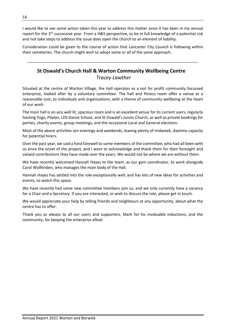I would like to see some action taken this year to address this matter since it has been in my annual report for the 3<sup>rd</sup> successive year. From a H&S perspective, to be in full knowledge of a potential risk and not take steps to address the issue does open the church to an element of liability.

Consideration could be given to the course of action that Lancaster City Council is following within their cemeteries. The church might wish to adopt some or all of the same approach.

# **St Oswald's Church Hall & Warton Community Wellbeing Centre**  *Tracey Lawther*

Situated at the centre of Warton Village, the Hall operates as a not for profit community focussed enterprise, looked after by a voluntary committee. The hall and fitness room offer a venue at a reasonable cost, to individuals and organisations, with a theme of community wellbeing at the heart of our work.

The main hall is an airy well lit, spacious room and is an excellent venue for its current users, regularly hosting Yoga, Pilates, LDS Dance School, and St Oswald's Junior Church, as well as private bookings for parties, charity events, group meetings, and the occasional Local and General elections.

Most of the above activities are evenings and weekends, leaving plenty of midweek, daytime capacity for potential hirers.

Over the past year, we said a fond farewell to some members of the committee, who had all been with us since the onset of the project, and I want to acknowledge and thank them for their foresight and valued contributions they have made over the years. We would not be where we are without them.

We have recently welcomed Hannah Hayes to the team, as our gym coordinator, to work alongside Carol Wolfenden, who manages the main body of the Hall.

Hannah Hayes has settled into the role exceptionally well, and has lots of new ideas for activities and events, so watch this space.

We have recently had some new committee members join us, and we only currently have a vacancy for a Chair and a Secretary. If you are interested, or wish to discuss the role, please get in touch.

We would appreciate your help by telling friends and neighbours at any opportunity, about what the centre has to offer.

Thank you as always to all our users and supporters, Mark for his invaluable inductions, and the community, for keeping the enterprise afloat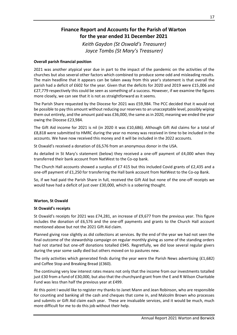# **Finance Report and Accounts for the Parish of Warton for the year ended 31 December 2021**

*Keith Gaydon (St Oswald's Treasurer) Joyce Tombs (St Mary's Treasurer)*

### **Overall parish financial position**

2021 was another atypical year due in part to the impact of the pandemic on the activities of the churches but also several other factors which combined to produce some odd and misleading results. The main headline that it appears can be taken away from this year's statement is that overall the parish had a deficit of £602 for the year. Given that the deficits for 2020 and 2019 were £15,006 and £27,779 respectively this could be seen as something of a success. However, if we examine the figures more closely, we can see that it is not as straightforward as it seems.

The Parish Share requested by the Diocese for 2021 was £59,984. The PCC decided that it would not be possible to pay this amount without reducing our reserves to an unacceptable level, possibly wiping them out entirely, and the amount paid was £36,000, the same as in 2020, meaning we ended the year owing the Diocese £23,984.

The Gift Aid income for 2021 is nil (in 2020 it was £10,686). Although Gift Aid claims for a total of £8,818 were submitted to HMRC during the year no money was received in time to be included in the accounts. We have now received this money and it will be included in the 2022 accounts.

St Oswald's received a donation of £6,576 from an anonymous donor in the USA.

As detailed in St Mary's statement (below) they received a one-off payment of £4,000 when they transferred their bank account from NatWest to the Co-op bank.

The Church Hall accounts showed a surplus of £7 415 but this included Covid grants of £2,435 and a one-off payment of £1,250 for transferring the Hall bank account from NatWest to the Co-op Bank.

So, if we had paid the Parish Share in full, received the Gift Aid but none of the one-off receipts we would have had a deficit of just over £30,000, which is a sobering thought.

#### **Warton, St Oswald**

#### **St Oswald's receipts**

St Oswald's receipts for 2021 was £74,281, an increase of £9,677 from the previous year. This figure includes the donation of £6,576 and the one-off payments and grants to the Church Hall account mentioned above but not the 2021 Gift Aid claim.

Planned giving rose slightly as did collections at services. By the end of the year we had not seen the final outcome of the stewardship campaign on regular monthly giving as some of the standing orders had not started but one-off donations totalled £945. Regretfully, we did lose several regular givers during the year some sadly died but others moved on to pastures new.

The only activities which generated finds during the year were the Parish News advertising (£1,682) and Coffee Stop and Breaking Bread (£360).

The continuing very low interest rates means not only that the income from our investments totalled just £30 from a fund of £30,000, but also that the churchyard grant from the E and R Wilson Charitable Fund was less than half the previous year at £499.

At this point I would like to register my thanks to Janet Mann and Jean Robinson, who are responsible for counting and banking all the cash and cheques that come in, and Malcolm Brown who processes and submits or Gift Aid claim each year. These are invaluable services, and it would be much, much more difficult for me to do this job without their help.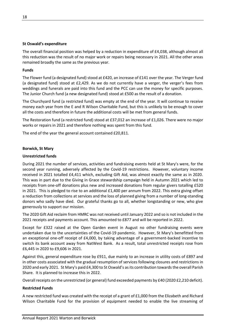### **St Oswald's expenditure**

The overall financial position was helped by a reduction in expenditure of £4,038, although almost all this reduction was the result of no major work or repairs being necessary in 2021. All the other areas remained broadly the same as the previous year.

### **Funds**

The Flower fund (a designated fund) stood at £420, an increase of £141 over the year. The Verger fund (a designated fund) stood at £2,429. As we do not currently have a verger, the verger's fees from weddings and funerals are paid into this fund and the PCC can use the money for specific purposes. The Junior Church fund (a new designated fund) stood at £500 as the result of a donation.

The Churchyard fund (a restricted fund) was empty at the end of the year. It will continue to receive money each year from the E and R Wilson Charitable Fund, but this is unlikely to be enough to cover all the costs and therefore in future the additional costs will be met from general funds.

The Restoration fund (a restricted fund) stood at £37,012 an increase of £1,026. There were no major works or repairs in 2021 and therefore nothing was spent from this fund.

The end of the year the general account contained £20,811.

#### **Borwick, St Mary**

### **Unrestricted funds**

During 2021 the number of services, activities and fundraising events held at St Mary's were, for the second year running, adversely affected by the Covid-19 restrictions. However, voluntary income received in 2021 totalled £4,411 which, excluding Gift Aid, was almost exactly the same as in 2020. This was in part due to the Giving in Grace stewardship campaign held in Autumn 2021 which led to receipts from one-off donations plus new and increased donations from regular givers totalling £520 in 2021. This is pledged to rise to an additional £1,400 per annum from 2022. This extra giving offset a reduction from collections at services and the loss of planned giving from a number of long-standing donors who sadly have died. Our grateful thanks go to all, whether longstanding or new, who give generously to support our mission.

The 2020 Gift Aid reclaim from HMRC was not received until January 2022 and so is not included in the 2021 receipts and payments account. This amounted to £877 and will be reported in 2022.

Except for £322 raised at the Open Garden event in August no other fundraising events were undertaken due to the uncertainties of the Covid-19 pandemic. However, St Mary's benefitted from an exceptional one-off receipt of £4,000, by taking advantage of a government-backed incentive to switch its bank account away from NatWest Bank. As a result, total unrestricted receipts rose from £6,445 in 2020 to £9,606 in 2021.

Against this, general expenditure rose by £911, due mainly to an increase in utility costs of £897 and in other costs associated with the gradual resumption of services following closures and restrictions in 2020 and early 2021. St Mary's paid £4,300 to St Oswald's as its contribution towards the overall Parish Share. It is planned to increase this in 2022.

Overall receipts on the unrestricted (or general) fund exceeded payments by £40 (2020 £2,210 deficit).

#### **Restricted Funds**

A new restricted fund was created with the receipt of a grant of £1,000 from the Elizabeth and Richard Wilson Charitable Fund for the provision of equipment needed to enable the live streaming of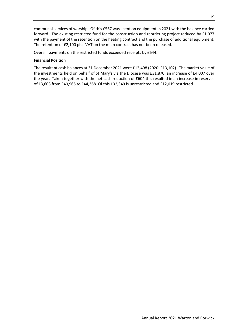communal services of worship. Of this £567 was spent on equipment in 2021 with the balance carried forward. The existing restricted fund for the construction and reordering project reduced by £1,077 with the payment of the retention on the heating contract and the purchase of additional equipment. The retention of £2,100 plus VAT on the main contract has not been released.

Overall, payments on the restricted funds exceeded receipts by £644.

### **Financial Position**

The resultant cash balances at 31 December 2021 were £12,498 (2020: £13,102). The market value of the investments held on behalf of St Mary's via the Diocese was £31,870, an increase of £4,007 over the year. Taken together with the net cash reduction of £604 this resulted in an increase in reserves of £3,603 from £40,965 to £44,368. Of this £32,349 is unrestricted and £12,019 restricted.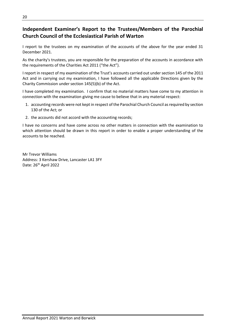# **Independent Examiner's Report to the Trustees/Members of the Parochial Church Council of the Ecclesiastical Parish of Warton**

I report to the trustees on my examination of the accounts of the above for the year ended 31 December 2021.

As the charity's trustees, you are responsible for the preparation of the accounts in accordance with the requirements of the Charities Act 2011 ("the Act").

I report in respect of my examination of the Trust's accounts carried out under section 145 of the 2011 Act and in carrying out my examination, I have followed all the applicable Directions given by the Charity Commission under section 145(5)(b) of the Act.

I have completed my examination. I confirm that no material matters have come to my attention in connection with the examination giving me cause to believe that in any material respect:

- 1. accounting records were not kept in respect of the Parochial Church Council as required by section 130 of the Act; or
- 2. the accounts did not accord with the accounting records;

I have no concerns and have come across no other matters in connection with the examination to which attention should be drawn in this report in order to enable a proper understanding of the accounts to be reached.

Mr Trevor Williams Address: 3 Kershaw Drive, Lancaster LA1 3FY Date: 26<sup>th</sup> April 2022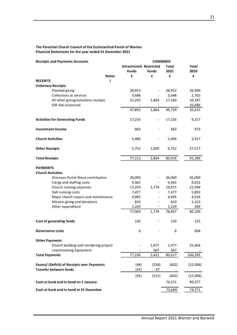| <b>Receipts and Payments Accounts</b>       |                                |                          | <b>COMBINED</b> |          |
|---------------------------------------------|--------------------------------|--------------------------|-----------------|----------|
|                                             | <b>Unrestricted Restricted</b> |                          | Total           | Total    |
|                                             | <b>Funds</b>                   | Funds                    | 2021            | 2020     |
| <b>Notes</b>                                | £                              | £                        | £               | £        |
| <b>RECEIPTS</b><br>1                        |                                |                          |                 |          |
| <b>Voluntary Receipts</b>                   |                                |                          |                 |          |
| Planned giving                              | 28,952                         |                          | 28,952          | 26,990   |
| Collections at services                     | 3,648                          |                          | 3,648           | 2,762    |
| All other giving/voluntary receipts         | 15,295                         | 1,864                    | 17,160          | 10,187   |
| Gift Aid recovered                          |                                |                          |                 | 10,686   |
|                                             | 47,895                         | 1,864                    | 49,759          | 50,625   |
| <b>Activities for Generating Funds</b>      | 17,256                         |                          | 17,256          | 9,257    |
| <b>Investment Income</b>                    | 843                            |                          | 843             | 973      |
| <b>Church Activities</b>                    | 5,406                          |                          | 5,406           | 2,917    |
| <b>Other Receipts</b>                       | 5,752                          | 1,000                    | 6,752           | 27,517   |
| <b>Total Receipts</b>                       | 77,152                         | 2,864                    | 80,016          | 91,289   |
| <b>PAYMENTS</b>                             |                                |                          |                 |          |
| <b>Church Activities</b>                    |                                |                          |                 |          |
| Diocesan Parish Share contribution          | 36,000                         | $\overline{\phantom{a}}$ | 36,000          | 36,000   |
| Clergy and staffing costs                   | 9,565                          | $\alpha$                 | 9,565           | 9,652    |
| Church running expenses                     | 17,293                         | 1,778                    | 19,071          | 22,948   |
| Hall running costs                          | 7,477                          | ÷                        | 7,477           | 5,892    |
| Major church repairs and maintenance        | 4,695                          | $\frac{1}{2}$            | 4,695           | 4,016    |
| Mission giving and donations                | 810                            | $\overline{\phantom{a}}$ | 810             | 1,323    |
| Other expenditure                           | 1,229                          | Ξ                        | 1,229           | 269      |
|                                             | 77,069                         | 1,778                    | 78,847          | 80,100   |
| Cost of generating funds                    | 120                            | ÷.                       | 120             | 125      |
| <b>Governance costs</b>                     | 6                              |                          | 6               | 604      |
| <b>Other Payments</b>                       |                                |                          |                 |          |
| Church building and reordering project      |                                | 1,077                    | 1,077           | 25,466   |
| Livestreaming Equipment                     |                                | 567                      | 567             |          |
| <b>Total Payments</b>                       | 77,196                         | 3,422                    | 80,617          | 106,295  |
| Excess/ (Deficit) of Receipts over Payments | (44)                           | (558)                    | (602)           | (15,006) |
| <b>Transfer between funds</b>               | (47)                           | 47                       |                 |          |
|                                             | (91)                           | (511)                    | (602)           | (15,006) |
| Cash at bank and in hand on 1 January       |                                |                          | 74,271          | 89,277   |
| Cash at bank and in hand at 31 December     |                                |                          | 73,669          | 74,271   |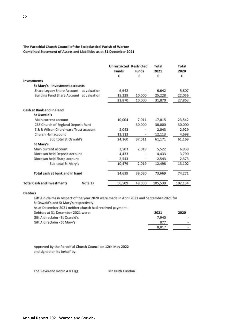#### The Parochial Church Council of the Ecclesiastical Parish of Warton Combined Statement of Assets and Liabilities as at 31 December 2021

|                                          |         | <b>Unrestricted Restricted</b><br>Funds<br>£ | Funds<br>£ | Total<br>2021<br>£ | Total<br>2020<br>£ |
|------------------------------------------|---------|----------------------------------------------|------------|--------------------|--------------------|
| <b>Investments</b>                       |         |                                              |            |                    |                    |
| St Mary's - Investment accounts          |         |                                              |            |                    |                    |
| Sharp Legacy Share Account at valuation  |         | 6,642                                        |            | 6,642              | 5,807              |
| Building Fund Share Account at valuation |         | 15,228                                       | 10,000     | 25,228             | 22,056             |
|                                          |         | 21,870                                       | 10,000     | 31,870             | 27,863             |
| Cash at Bank and in Hand                 |         |                                              |            |                    |                    |
| St Oswald's                              |         |                                              |            |                    |                    |
| Main current account                     |         | 10,004                                       | 7,011      | 17,015             | 23,542             |
| CBF Church of England Deposit Fund       |         |                                              | 30,000     | 30,000             | 30,000             |
| E & R Wilson Churchyard Trust account    |         | 2,043                                        |            | 2,043              | 2,929              |
| Church Hall account                      |         | 12,113                                       | $\bar{~}$  | 12,113             | 4,698              |
| Sub total St Oswald's                    |         | 24,160                                       | 37,011     | 61,171             | 61,169             |
| St Mary's                                |         |                                              |            |                    |                    |
| Main current account                     |         | 3,503                                        | 2,019      | 5,522              | 6,939              |
| Diocesan held Deposit account            |         | 4,433                                        |            | 4,433              | 3,790              |
| Diocesan held Sharp account              |         | 2,543                                        |            | 2,543              | 2,373              |
| Sub total St Mary's                      |         | 10,479                                       | 2,019      | 12,498             | 13,102             |
| Total cash at bank and in hand           |         | 34,639                                       | 39,030     | 73,669             | 74,271             |
| <b>Total Cash and Investments</b>        | Note 17 | 56,509                                       | 49,030     | 105,539            | 102,134            |

#### **Debtors**

Gift Aid claims in respect of the year 2020 were made in April 2021 and September 2021 for St Oswald's and St Mary's respectively.

As at December 2021 neither church had received payment.

| Debtors at 31 December 2021 were: | 2021  | 2020   |
|-----------------------------------|-------|--------|
| Gift Aid reclaim - St Oswald's    | 7.940 | $\sim$ |
| Gift Aid reclaim - St Mary's      | 877   | $\sim$ |
|                                   | 8.817 | $\sim$ |
|                                   |       |        |

Approved by the Parochial Church Council on 12th May 2022 and signed on its behalf by:

The Reverend Robin A R Figg

Mr Keith Gaydon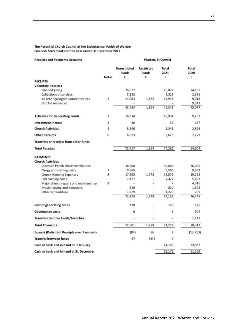| <b>Receipts and Payments Accounts</b>                          |                         | Warton, St Oswald            |                            |                 |                |  |  |  |
|----------------------------------------------------------------|-------------------------|------------------------------|----------------------------|-----------------|----------------|--|--|--|
|                                                                |                         | <b>Unrestricted</b><br>Funds | <b>Restricted</b><br>Funds | Total<br>2021   | Total<br>2020  |  |  |  |
|                                                                | <b>Notes</b>            | £                            | £                          | £               | £              |  |  |  |
| <b>RECEIPTS</b>                                                |                         |                              |                            |                 |                |  |  |  |
| <b>Voluntary Receipts</b>                                      |                         |                              |                            |                 |                |  |  |  |
| Planned giving                                                 |                         | 26,077                       |                            | 26,077          | 24,185         |  |  |  |
| Collections at services<br>All other giving/voluntary receipts | 2                       | 3,323<br>14,084              | 1,864                      | 3,323<br>15,949 | 2,331<br>9,018 |  |  |  |
| Gift Aid recovered                                             |                         |                              |                            |                 | 9,543          |  |  |  |
|                                                                |                         | 43,484                       | 1,864                      | 45,348          | 45,077         |  |  |  |
| <b>Activities for Generating Funds</b>                         | 3                       | 16,934                       |                            | 16,934          | 9,257          |  |  |  |
| <b>Investment Income</b>                                       | 4                       | 30                           |                            | 30              | 167            |  |  |  |
| <b>Church Activities</b>                                       | 5                       | 5.346                        |                            | 5.346           | 2.826          |  |  |  |
| <b>Other Receipts</b>                                          | 6                       | 6,623                        |                            | 6,623           | 7,277          |  |  |  |
| Transfers or receipts from other funds                         |                         |                              | ¥,                         |                 |                |  |  |  |
| <b>Total Receipts</b>                                          |                         | 72,417                       | 1,864                      | 74,281          | 64,604         |  |  |  |
| <b>PAYMENTS</b>                                                |                         |                              |                            |                 |                |  |  |  |
| <b>Church Activities</b>                                       |                         |                              |                            |                 |                |  |  |  |
| Diocesan Parish Share contribution                             |                         | 36,000                       | ¥.                         | 36,000          | 36,000         |  |  |  |
| Clergy and staffing costs                                      | 7                       | 9,565                        |                            | 9,565           | 9,652          |  |  |  |
| <b>Church Running Expenses</b>                                 | $\overline{\mathbf{g}}$ | 17,293                       | 1,778                      | 19,072          | 19,292         |  |  |  |
| Hall running costs                                             |                         | 7,477                        | $\overline{a}$             | 7.477           | 5,893          |  |  |  |
| Major church repairs and maintenance                           | 9                       |                              |                            |                 | 4,016          |  |  |  |
| Mission giving and donations                                   |                         | 810                          | g,                         | 810             | 1,323          |  |  |  |
| Other expenditure                                              |                         | 1,229<br>72,374              | ¥.<br>1,778                | 1,229<br>74,152 | 269<br>76,445  |  |  |  |
|                                                                |                         |                              |                            |                 |                |  |  |  |
| <b>Cost of generating funds</b>                                |                         | 120                          | ÷.                         | 120             | 125            |  |  |  |
| Governance costs                                               |                         | 6                            | s                          | 6               | 604            |  |  |  |
| Transfers to other funds/branches                              |                         | £)                           | ×                          |                 | 1,143          |  |  |  |
| <b>Total Payments</b>                                          |                         | 72,501                       | 1,778                      | 74,279          | 78,317         |  |  |  |
| Excess/ (Deficit) of Receipts over Payments                    |                         | (84)                         | 86                         | $\overline{2}$  | (13, 713)      |  |  |  |
| <b>Transfer between funds</b>                                  |                         | 47                           | (47)                       | ö               |                |  |  |  |
| Cash at bank and in hand on 1 January                          |                         |                              |                            | 61,169          | 74,882         |  |  |  |
| Cash at bank and in hand at 31 December                        |                         |                              |                            | 61.171          | 61,169         |  |  |  |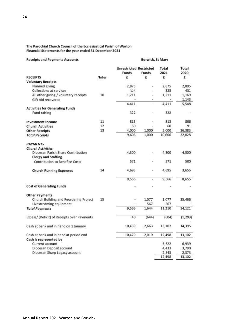| <b>Receipts and Payments Accounts</b>                            |       | <b>Borwick, St Mary</b>                        |       |               |               |  |
|------------------------------------------------------------------|-------|------------------------------------------------|-------|---------------|---------------|--|
|                                                                  |       | <b>Unrestricted Restricted</b><br><b>Funds</b> | Funds | Total<br>2021 | Total<br>2020 |  |
| <b>RECEIPTS</b>                                                  | Notes | £                                              | £     | £             | £             |  |
| <b>Voluntary Receipts</b>                                        |       |                                                |       |               |               |  |
| Planned giving                                                   |       | 2,875                                          | ú.    | 2,875         | 2,805         |  |
| Collections at services                                          |       | 325                                            |       | 325           | 431           |  |
| All other giving / voluntary receipts                            | 10    | 1,211                                          | ÷     | 1,211         | 1,169         |  |
| Gift Aid recovered                                               |       |                                                |       |               | 1,143         |  |
|                                                                  |       | 4,411                                          | ₽     | 4.411         | 5,548         |  |
| <b>Activities for Generating Funds</b>                           |       |                                                |       |               |               |  |
| Fund raising                                                     |       | 322                                            | ä,    | 322           |               |  |
| Investment Income                                                | 11    | 813                                            | ×,    | 813           | 806           |  |
| <b>Church Activities</b>                                         | 12    | 60                                             |       | 60            | 91            |  |
| <b>Other Receipts</b>                                            | 13    | 4,000                                          | 1,000 | 5,000         | 26,383        |  |
| <b>Total Receipts</b>                                            |       | 9,606                                          | 1,000 | 10,606        | 32,828        |  |
| <b>PAYMENTS</b>                                                  |       |                                                |       |               |               |  |
| <b>Church Activities</b>                                         |       |                                                |       |               |               |  |
| Diocesan Parish Share Contribution<br><b>Clergy and Staffing</b> |       | 4,300                                          | ÷.    | 4,300         | 4,500         |  |
| <b>Contribution to Benefice Costs</b>                            |       | 571                                            | L,    | 571           | 500           |  |
| <b>Church Running Expenses</b>                                   | 14    | 4,695                                          | ä,    | 4,695         | 3,655         |  |
|                                                                  |       | 9,566                                          | ×,    | 9,566         | 8,655         |  |
| <b>Cost of Generating Funds</b>                                  |       | $\sim$                                         |       |               |               |  |
| <b>Other Payments</b>                                            |       |                                                |       |               |               |  |
| Church Building and Reordering Project                           | 15    | Ξ                                              | 1,077 | 1,077         | 25,466        |  |
| Livestreaming equipment                                          |       |                                                | 567   | 567           |               |  |
| <b>Total Payments</b>                                            |       | 9,566                                          | 1,644 | 11,210        | 34,121        |  |
| Excess/ (Deficit) of Receipts over Payments                      |       | 40                                             | (644) | (604)         | (1, 293)      |  |
| Cash at bank and in hand on 1 January                            |       | 10,439                                         | 2,663 | 13,102        | 14,395        |  |
| Cash at bank and in hand at period end                           |       | 10,479                                         | 2,019 | 12,498        | 13,102        |  |
| Cash is represented by                                           |       |                                                |       |               |               |  |
| Current account                                                  |       |                                                |       | 5,522         | 6,939         |  |
| Diocesan Deposit account                                         |       |                                                |       | 4,433         | 3,790         |  |
| Diocesan Sharp Legacy account                                    |       |                                                |       | 2,543         | 2,373         |  |
|                                                                  |       |                                                |       | 12,498        | 13,102        |  |

24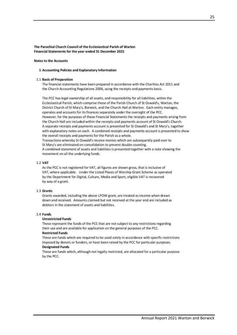#### **Notes to the Accounts**

#### 1 Accounting Policies and Explanatory Information

movement on all the underlying funds.

#### 1.1 Basis of Preparation

The financial statements have been prepared in accordance with the Charities Act 2011 and the Church Accounting Regulations 2006, using the receipts and payments basis.

The PCC has legal ownership of all assets, and responsibility for all liabilities, within the Ecclesiastical Parish, which comprise those of the Parish Church of St Oswald's, Warton, the District Church of St Mary's, Borwick, and the Church Hall at Warton. Each entity manages, operates and accounts for its finances separately under the oversight of the PCC. However, for the purposes of these Financial Statements the receipts and payments arising from the Church Hall are included within the receipts and payments account of St Oswald's Church. A separate receipts and payments account is presented for St Oswald's and St Mary's, together with explanatory notes on each. A combined receipts and payments account is presented to show the overall receipts and payments for the Parish as a whole. Transactions whereby St Oswald's receive monies which are subsequently paid over to St Mary's are eliminated on consolidation to prevent double counting. A combined statement af assets and liabilities is presented together with a note showing the

#### **1.2 VAT**

As the PCC is not registered for VAT, all figures are shown gross, that is inclusive of VAT, where applicable. Under the Listed Places of Worship Grant Scheme as operated by the Department for Digital, Culture, Media and Sport, eligible VAT is recovered by way of a grant.

#### 1.3 Grants

Grants awarded, including the above LPOW grant, are treated as income when drawn down and received. Amounts claimed but not received at the year end are included as debtors in the statement of assets and liabilities.

#### 1.4 Funds

#### **Unrestricted Funds**

These represent the funds of the PCC that are not subject to any restrictions regarding their use and are available for application on the general purposes of the PCC. **Restricted Funds** 

These are funds which are required to be used solely in accordance with specific restrictions imposed by donors or funders, or have been raised by the PCC for particular purposes.

#### **Designated Funds**

These are funds which, although not legally restricted, are allocated for a particular purpose by the PCC.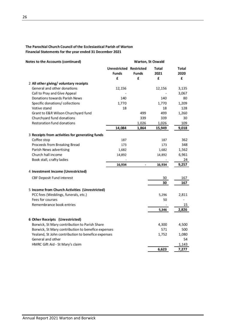| Notes to the Accounts (continued)                  | Warton, St Oswald                       |       |               |               |
|----------------------------------------------------|-----------------------------------------|-------|---------------|---------------|
|                                                    | <b>Unrestricted Restricted</b><br>Funds | Funds | Total<br>2021 | Total<br>2020 |
|                                                    | £                                       | £     | £             | £             |
| 2 All other giving/voluntary receipts              |                                         |       |               |               |
| General and other donations                        | 12,156                                  |       | 12,156        | 3,135         |
| Call to Pray and Give Appeal                       |                                         |       |               | 3,067         |
| Donations towards Parish News                      | 140                                     |       | 140           | 80            |
| Specific donations/ collections                    | 1,770                                   |       | 1,770         | 1,209         |
| Votive stand                                       | 18                                      |       | 18            | 128           |
| Grant to E&R Wilson Churchyard fund                |                                         | 499   | 499           | 1,260         |
| Churchyard fund donations                          |                                         | 339   | 339           | 30            |
| <b>Restoration fund donations</b>                  |                                         | 1,026 | 1,026         | 109           |
|                                                    | 14,084                                  | 1,864 | 15,949        | 9,018         |
| 3 Receipts from activities for generating funds    |                                         |       |               |               |
| Coffee stop                                        | 187                                     |       | 187           | 362           |
| Proceeds from Breaking Bread                       | 173                                     |       | 173           | 348           |
| Parish News advertising                            | 1,682                                   |       | 1,682         | 1,562         |
| Church hall income                                 | 14,892                                  |       | 14,892        | 6,961         |
| Book stall, crafty ladies                          |                                         |       |               | 24            |
|                                                    | 16,934                                  | ٠     | 16,934        | 9,257         |
| 4 Investment Income (Unrestricted)                 |                                         |       |               |               |
| CBF Deposit Fund interest                          |                                         |       | 30            | 167           |
|                                                    |                                         |       | 30            | 167           |
| 5 Income from Church Activities (Unrestricted)     |                                         |       |               |               |
| PCC fees (Weddings, funerals, etc.)                |                                         |       | 5,296         | 2,811         |
| Fees for courses                                   |                                         |       | 50            |               |
| Remembrance book entries                           |                                         |       |               | 15            |
|                                                    |                                         |       | 5,346         | 2,826         |
| 6 Other Receipts (Unrestricted)                    |                                         |       |               |               |
| Borwick, St Mary contribution to Parish Share      |                                         |       | 4,300         | 4,500         |
| Borwick, St Mary contribution to benefice expenses |                                         |       | 571           | 500           |
| Yealand, St John contribution to benefice expenses |                                         |       | 1,752         | 1,080         |
| General and other                                  |                                         |       |               | 54            |
| HMRC Gift Aid - St Mary's claim                    |                                         |       |               | 1,143         |
|                                                    |                                         |       | 6,623         | 7,277         |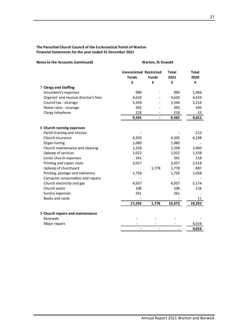| Notes to the Accounts (continued)     | Warton, St Oswald                       |       |               |               |  |
|---------------------------------------|-----------------------------------------|-------|---------------|---------------|--|
|                                       | <b>Unrestricted Restricted</b><br>Funds | Funds | Total<br>2021 | Total<br>2020 |  |
|                                       | £                                       | £     | £             | £             |  |
| 7 Clergy and Staffing                 |                                         |       |               |               |  |
| Incumbent's expenses                  | 990                                     | L,    | 990           | 1,406         |  |
| Organist' and musical director's fees | 4,620                                   | ۰     | 4,620         | 4,620         |  |
| Council tax - vicarage                | 3,344                                   | ۰     | 3,344         | 3,216         |  |
| Water rates - vicarage                | 392                                     | ۰     | 392           | 395           |  |
| Clergy telephone                      | 218                                     |       | 218           | 15            |  |
|                                       | 9,565                                   | ×,    | 9,565         | 9,652         |  |
| 8 Church running expenses             |                                         |       |               |               |  |
| Parish training and mission           |                                         |       |               | 213           |  |
| Church insurance                      | 4,205                                   |       | 4,205         | 4,198         |  |
| Organ tuning                          | 1,080                                   |       | 1,080         |               |  |
| Church maintenance and cleaning       | 1,558                                   |       | 1,558         | 2,980         |  |
| Upkeep of services                    | 1,022                                   |       | 1,022         | 1,538         |  |
| Junior church expenses                | 341                                     |       | 341           | 518           |  |
| Printing and copier costs             | 2,027                                   |       | 2,027         | 2,518         |  |
| Upkeep of churchyard                  |                                         | 1,778 | 1,778         | 887           |  |
| Printing, postage and stationery      | 1,756                                   |       | 1,756         | 1,038         |  |
| Computer consumables and repairs      |                                         |       |               |               |  |
| Church electricity and gas            | 4,937                                   |       | 4,937         | 5,174         |  |
| Church water                          | 108                                     |       | 108           | 216           |  |
| Sundry expenses                       | 261                                     |       | 261           |               |  |
| Books and cards                       |                                         |       |               | 11            |  |
|                                       | 17,293                                  | 1,778 | 19,072        | 19,292        |  |
| 9 Church repairs and maintenance      |                                         |       |               |               |  |
| Renewals                              |                                         |       |               |               |  |
| Major repairs                         | ٧                                       | U,    |               | 4,016         |  |
|                                       | ÷                                       | c     |               | 4,016         |  |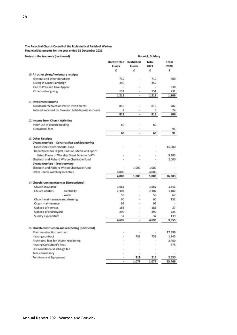| Notes to the Accounts (continued)         |                                                     | Borwick, St Mary      |                            |               |               |
|-------------------------------------------|-----------------------------------------------------|-----------------------|----------------------------|---------------|---------------|
|                                           |                                                     | Unrestricted<br>Funds | <b>Restricted</b><br>Funds | Total<br>2021 | Total<br>2020 |
|                                           |                                                     | £                     | £                          | £             | £             |
| 10 All other giving/voluntary receipts    |                                                     |                       |                            |               |               |
| General and other donations               |                                                     | 710                   | ×                          | 710           | 400           |
| Giving in Grace Campaign                  |                                                     | 350                   | ÷                          | 350           |               |
| Call to Pray and Give Appeal              |                                                     | ÷                     |                            | 꿐             | 538           |
| Other online giving                       |                                                     | 151                   | ÷                          | 151           | 231           |
|                                           |                                                     | 1,211                 | $\overline{\phantom{a}}$   | 1,211         | 1,169         |
| 11 Investment Income                      |                                                     |                       |                            |               |               |
|                                           | Dividends received on Parish Investments            | 810                   | ÷                          | 810           | 782           |
|                                           | Interest received on Diocesan held deposit accounts | 3                     | ŵ                          | з             | 24            |
|                                           |                                                     | 813                   | ۰                          | 813           | 806           |
| 12 Income from Church Activities          |                                                     |                       |                            |               |               |
| Hire/ use of church building              |                                                     | 60                    | ÷                          | 60            |               |
| Occasional fees                           |                                                     | -                     | $\sim$                     |               | 91            |
|                                           |                                                     | 60                    | ٠                          | 60            | 91            |
| 13 Other Receipts                         |                                                     |                       |                            |               |               |
|                                           | Grants received - Construction and Reordering       |                       |                            |               |               |
| Lancashire Environmental Fund             |                                                     | ×                     | ¥                          | ä.            | 15,000        |
|                                           | Department for Digital, Culture, Media and Sport:   |                       |                            |               |               |
|                                           | Listed Places of Worship Grant Scheme (VAT)         | $\sim$                | $\scriptstyle\rm{m}$       | w.            | 9,383         |
|                                           | Elizabeth and Richard Wilson Charitable Fund        | Ĉ.                    | ۳                          | $\;$          | 2,000         |
| Grants received - livestreaming           |                                                     |                       |                            |               |               |
|                                           | Elizabeth and Richard Wilson Charitable Fund        |                       | 1,000                      | 1,000         |               |
| Other - bank switching incentive          |                                                     | 4,000                 |                            | 4,000         |               |
|                                           |                                                     | 4,000                 | 1,000                      | 5,000         | 26,383        |
| 14 Church running expenses (Unrestricted) |                                                     |                       |                            |               |               |
| Church Insurance                          |                                                     | 1,662                 | ÷                          | 1,662         | 1,643         |
| Church utilities                          | - electricity                                       | 2,307                 | $\equiv$                   | 2,307         | 1,402         |
|                                           | - water                                             | 59                    | ۰                          | 59            | 67            |
| Church maintenance and cleaning           |                                                     | 60                    |                            | 60            | 152           |
| Organ maintenance                         |                                                     | 95                    | s                          | 95            |               |
| Upkeep of services                        |                                                     | 186                   | $\overline{\phantom{a}}$   | 186           | 27            |
| Upkeep of churchyard                      |                                                     | 290                   | ä,                         | 290           | 225           |
| Sundry expenditure                        |                                                     | 37                    | ×.                         | 37            | 139           |
|                                           |                                                     | 4,695                 | á.                         | 4,695         | 3,655         |
|                                           | 15 Church construction and reordering (Restricted)  |                       |                            |               |               |
| Main construction contract                |                                                     |                       |                            |               | 17,396        |
| Heating contract                          |                                                     |                       | 758                        | 758           | 1,245         |
| Architects' fees for church reordering    |                                                     |                       |                            |               | 2,400         |
| <b>Heating Consultant's Fees</b>          |                                                     |                       |                            | ÷             | 875           |
| LCC conditional discharge fee             |                                                     |                       |                            |               |               |
| Tree consultancy                          |                                                     |                       |                            | ÷             |               |
| Furniture and Equipment                   |                                                     |                       | 319                        | 319           | 3,550         |
|                                           |                                                     | ٠                     | 1,077                      | 1,077         | 25,466        |